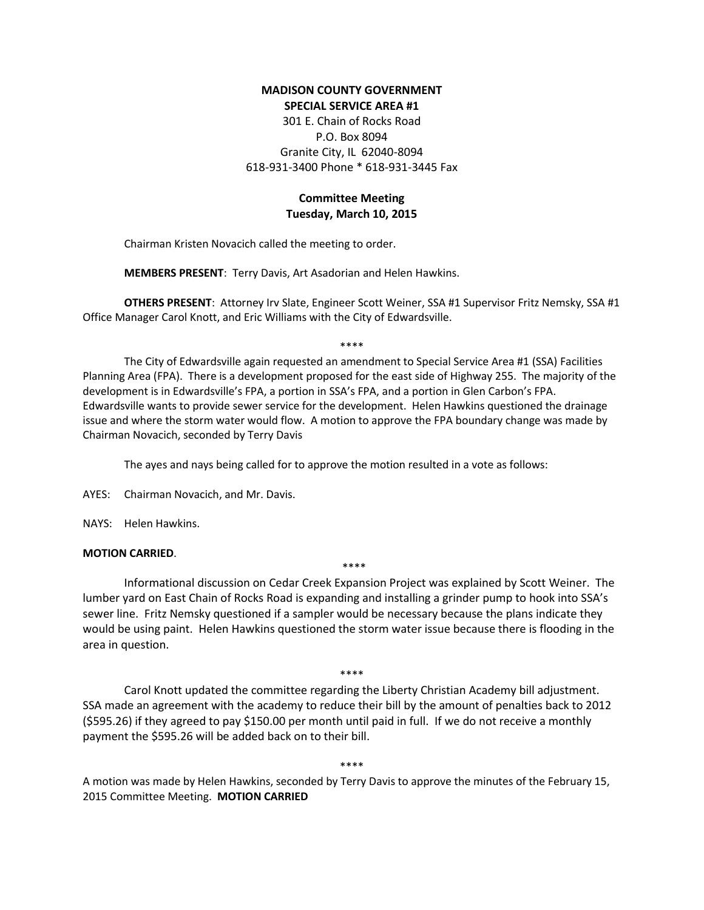## **MADISON COUNTY GOVERNMENT SPECIAL SERVICE AREA #1**

301 E. Chain of Rocks Road P.O. Box 8094 Granite City, IL 62040-8094 618-931-3400 Phone \* 618-931-3445 Fax

# **Committee Meeting Tuesday, March 10, 2015**

Chairman Kristen Novacich called the meeting to order.

**MEMBERS PRESENT**: Terry Davis, Art Asadorian and Helen Hawkins.

**OTHERS PRESENT**: Attorney Irv Slate, Engineer Scott Weiner, SSA #1 Supervisor Fritz Nemsky, SSA #1 Office Manager Carol Knott, and Eric Williams with the City of Edwardsville.

\*\*\*\*

The City of Edwardsville again requested an amendment to Special Service Area #1 (SSA) Facilities Planning Area (FPA). There is a development proposed for the east side of Highway 255. The majority of the development is in Edwardsville's FPA, a portion in SSA's FPA, and a portion in Glen Carbon's FPA. Edwardsville wants to provide sewer service for the development. Helen Hawkins questioned the drainage issue and where the storm water would flow. A motion to approve the FPA boundary change was made by Chairman Novacich, seconded by Terry Davis

The ayes and nays being called for to approve the motion resulted in a vote as follows:

AYES: Chairman Novacich, and Mr. Davis.

NAYS: Helen Hawkins.

### **MOTION CARRIED**.

\*\*\*\*

Informational discussion on Cedar Creek Expansion Project was explained by Scott Weiner. The lumber yard on East Chain of Rocks Road is expanding and installing a grinder pump to hook into SSA's sewer line. Fritz Nemsky questioned if a sampler would be necessary because the plans indicate they would be using paint. Helen Hawkins questioned the storm water issue because there is flooding in the area in question.

\*\*\*\*

Carol Knott updated the committee regarding the Liberty Christian Academy bill adjustment. SSA made an agreement with the academy to reduce their bill by the amount of penalties back to 2012 (\$595.26) if they agreed to pay \$150.00 per month until paid in full. If we do not receive a monthly payment the \$595.26 will be added back on to their bill.

\*\*\*\*

A motion was made by Helen Hawkins, seconded by Terry Davis to approve the minutes of the February 15, 2015 Committee Meeting. **MOTION CARRIED**